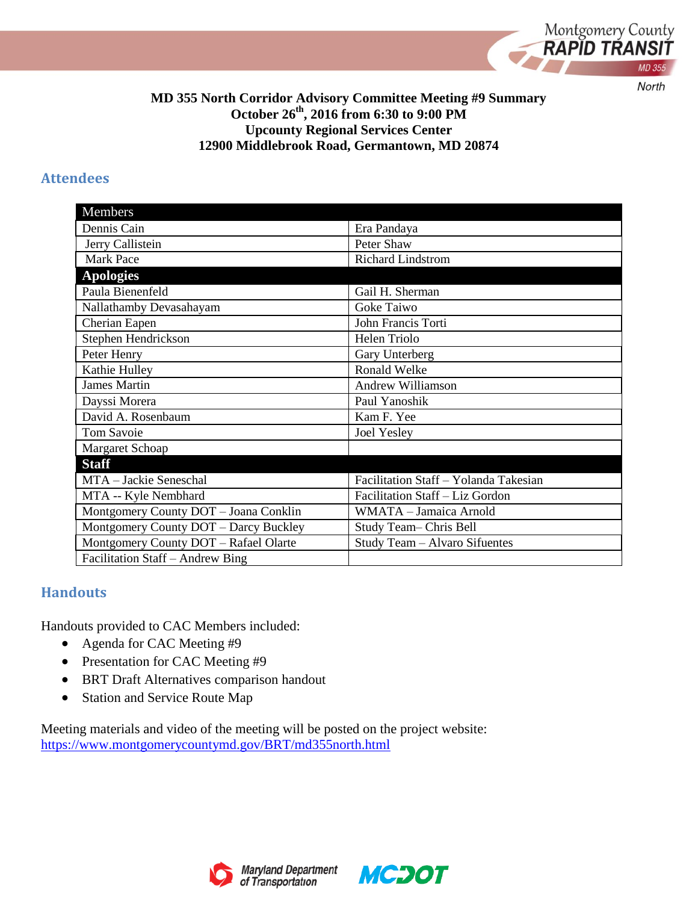

#### **MD 355 North Corridor Advisory Committee Meeting #9 Summary October 26th, 2016 from 6:30 to 9:00 PM Upcounty Regional Services Center 12900 Middlebrook Road, Germantown, MD 20874**

#### **Attendees**

| Members                               |                                       |
|---------------------------------------|---------------------------------------|
| Dennis Cain                           | Era Pandaya                           |
| Jerry Callistein                      | Peter Shaw                            |
| <b>Mark Pace</b>                      | <b>Richard Lindstrom</b>              |
| <b>Apologies</b>                      |                                       |
| Paula Bienenfeld                      | Gail H. Sherman                       |
| Nallathamby Devasahayam               | Goke Taiwo                            |
| Cherian Eapen                         | John Francis Torti                    |
| Stephen Hendrickson                   | Helen Triolo                          |
| Peter Henry                           | Gary Unterberg                        |
| Kathie Hulley                         | Ronald Welke                          |
| <b>James Martin</b>                   | <b>Andrew Williamson</b>              |
| Dayssi Morera                         | Paul Yanoshik                         |
| David A. Rosenbaum                    | Kam F. Yee                            |
| <b>Tom Savoie</b>                     | Joel Yesley                           |
| Margaret Schoap                       |                                       |
| <b>Staff</b>                          |                                       |
| MTA - Jackie Seneschal                | Facilitation Staff - Yolanda Takesian |
| MTA -- Kyle Nembhard                  | Facilitation Staff - Liz Gordon       |
| Montgomery County DOT - Joana Conklin | WMATA - Jamaica Arnold                |
| Montgomery County DOT - Darcy Buckley | Study Team-Chris Bell                 |
| Montgomery County DOT - Rafael Olarte | Study Team - Alvaro Sifuentes         |
| Facilitation Staff - Andrew Bing      |                                       |

#### **Handouts**

Handouts provided to CAC Members included:

- Agenda for CAC Meeting #9
- Presentation for CAC Meeting #9
- BRT Draft Alternatives comparison handout
- Station and Service Route Map

Meeting materials and video of the meeting will be posted on the project website: <https://www.montgomerycountymd.gov/BRT/md355north.html>





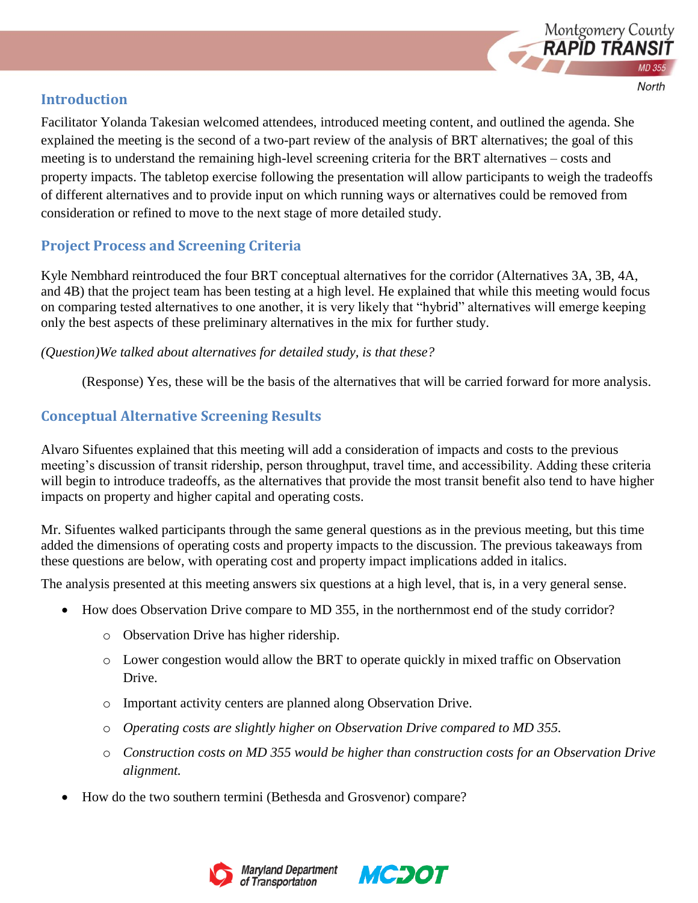

## **Introduction**

Facilitator Yolanda Takesian welcomed attendees, introduced meeting content, and outlined the agenda. She explained the meeting is the second of a two-part review of the analysis of BRT alternatives; the goal of this meeting is to understand the remaining high-level screening criteria for the BRT alternatives – costs and property impacts. The tabletop exercise following the presentation will allow participants to weigh the tradeoffs of different alternatives and to provide input on which running ways or alternatives could be removed from consideration or refined to move to the next stage of more detailed study.

# **Project Process and Screening Criteria**

Kyle Nembhard reintroduced the four BRT conceptual alternatives for the corridor (Alternatives 3A, 3B, 4A, and 4B) that the project team has been testing at a high level. He explained that while this meeting would focus on comparing tested alternatives to one another, it is very likely that "hybrid" alternatives will emerge keeping only the best aspects of these preliminary alternatives in the mix for further study.

*(Question)We talked about alternatives for detailed study, is that these?*

(Response) Yes, these will be the basis of the alternatives that will be carried forward for more analysis.

## **Conceptual Alternative Screening Results**

Alvaro Sifuentes explained that this meeting will add a consideration of impacts and costs to the previous meeting's discussion of transit ridership, person throughput, travel time, and accessibility. Adding these criteria will begin to introduce tradeoffs, as the alternatives that provide the most transit benefit also tend to have higher impacts on property and higher capital and operating costs.

Mr. Sifuentes walked participants through the same general questions as in the previous meeting, but this time added the dimensions of operating costs and property impacts to the discussion. The previous takeaways from these questions are below, with operating cost and property impact implications added in italics.

The analysis presented at this meeting answers six questions at a high level, that is, in a very general sense.

- How does Observation Drive compare to MD 355, in the northernmost end of the study corridor?
	- o Observation Drive has higher ridership.
	- o Lower congestion would allow the BRT to operate quickly in mixed traffic on Observation Drive.
	- o Important activity centers are planned along Observation Drive.
	- o *Operating costs are slightly higher on Observation Drive compared to MD 355.*
	- o *Construction costs on MD 355 would be higher than construction costs for an Observation Drive alignment.*
- How do the two southern termini (Bethesda and Grosvenor) compare?



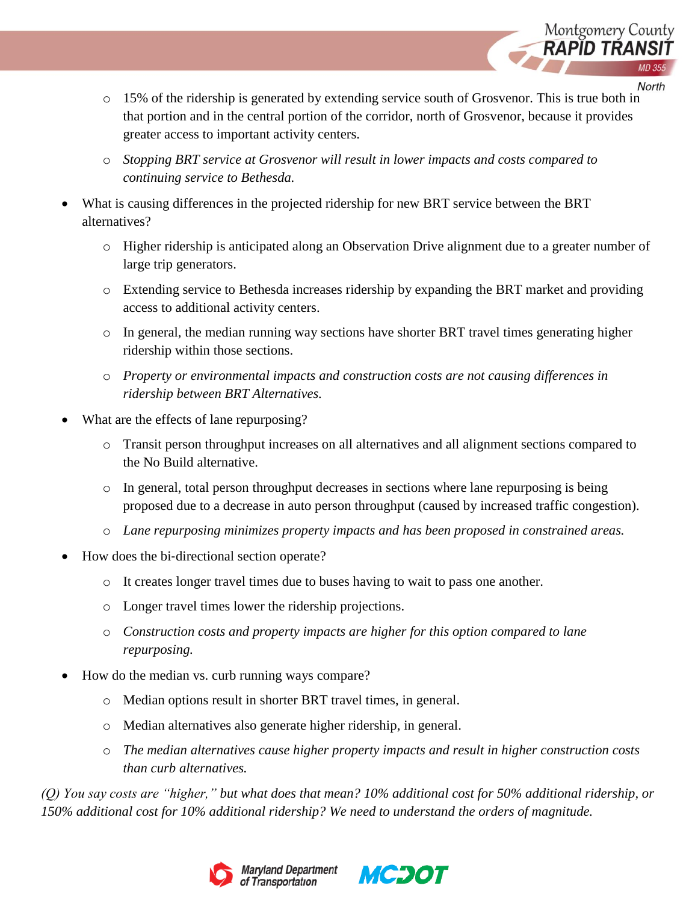

North

- o 15% of the ridership is generated by extending service south of Grosvenor. This is true both in that portion and in the central portion of the corridor, north of Grosvenor, because it provides greater access to important activity centers.
- o *Stopping BRT service at Grosvenor will result in lower impacts and costs compared to continuing service to Bethesda.*
- What is causing differences in the projected ridership for new BRT service between the BRT alternatives?
	- o Higher ridership is anticipated along an Observation Drive alignment due to a greater number of large trip generators.
	- o Extending service to Bethesda increases ridership by expanding the BRT market and providing access to additional activity centers.
	- o In general, the median running way sections have shorter BRT travel times generating higher ridership within those sections.
	- o *Property or environmental impacts and construction costs are not causing differences in ridership between BRT Alternatives.*
- What are the effects of lane repurposing?
	- o Transit person throughput increases on all alternatives and all alignment sections compared to the No Build alternative.
	- o In general, total person throughput decreases in sections where lane repurposing is being proposed due to a decrease in auto person throughput (caused by increased traffic congestion).
	- o *Lane repurposing minimizes property impacts and has been proposed in constrained areas.*
- How does the bi-directional section operate?
	- o It creates longer travel times due to buses having to wait to pass one another.
	- o Longer travel times lower the ridership projections.
	- o *Construction costs and property impacts are higher for this option compared to lane repurposing.*
- How do the median vs. curb running ways compare?
	- o Median options result in shorter BRT travel times, in general.
	- o Median alternatives also generate higher ridership, in general.
	- o *The median alternatives cause higher property impacts and result in higher construction costs than curb alternatives.*

*(Q) You say costs are "higher," but what does that mean? 10% additional cost for 50% additional ridership, or 150% additional cost for 10% additional ridership? We need to understand the orders of magnitude.* 



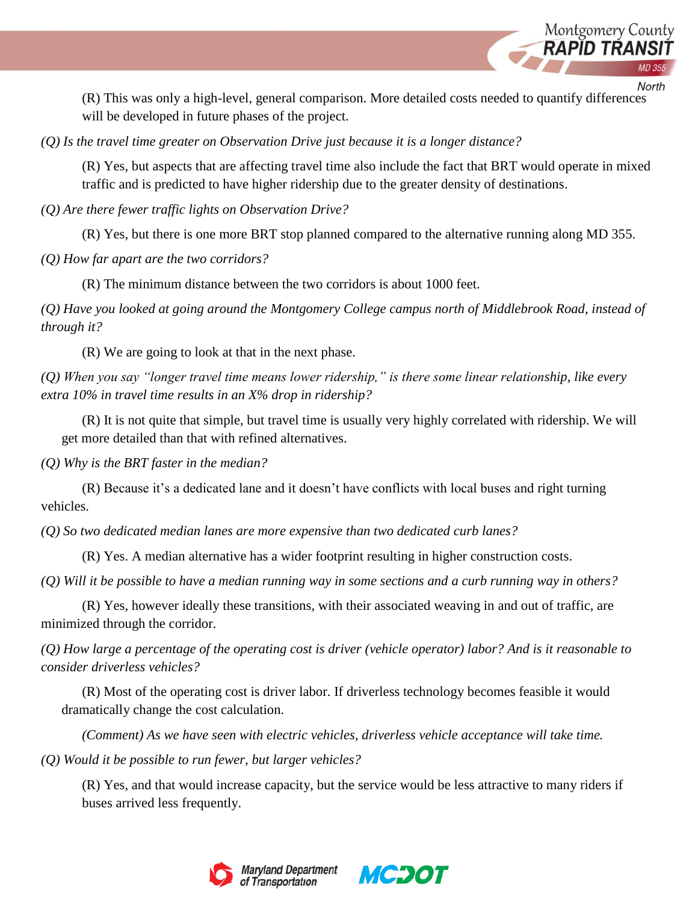

North

(R) This was only a high-level, general comparison. More detailed costs needed to quantify differences will be developed in future phases of the project.

*(Q) Is the travel time greater on Observation Drive just because it is a longer distance?*

(R) Yes, but aspects that are affecting travel time also include the fact that BRT would operate in mixed traffic and is predicted to have higher ridership due to the greater density of destinations.

*(Q) Are there fewer traffic lights on Observation Drive?*

(R) Yes, but there is one more BRT stop planned compared to the alternative running along MD 355.

*(Q) How far apart are the two corridors?*

(R) The minimum distance between the two corridors is about 1000 feet.

*(Q) Have you looked at going around the Montgomery College campus north of Middlebrook Road, instead of through it?*

(R) We are going to look at that in the next phase.

*(Q) When you say "longer travel time means lower ridership," is there some linear relationship, like every extra 10% in travel time results in an X% drop in ridership?*

(R) It is not quite that simple, but travel time is usually very highly correlated with ridership. We will get more detailed than that with refined alternatives.

*(Q) Why is the BRT faster in the median?*

(R) Because it's a dedicated lane and it doesn't have conflicts with local buses and right turning vehicles.

*(Q) So two dedicated median lanes are more expensive than two dedicated curb lanes?*

(R) Yes. A median alternative has a wider footprint resulting in higher construction costs.

*(Q) Will it be possible to have a median running way in some sections and a curb running way in others?*

(R) Yes, however ideally these transitions, with their associated weaving in and out of traffic, are minimized through the corridor.

*(Q) How large a percentage of the operating cost is driver (vehicle operator) labor? And is it reasonable to consider driverless vehicles?*

(R) Most of the operating cost is driver labor. If driverless technology becomes feasible it would dramatically change the cost calculation.

*(Comment) As we have seen with electric vehicles, driverless vehicle acceptance will take time.* 

*(Q) Would it be possible to run fewer, but larger vehicles?*

(R) Yes, and that would increase capacity, but the service would be less attractive to many riders if buses arrived less frequently.